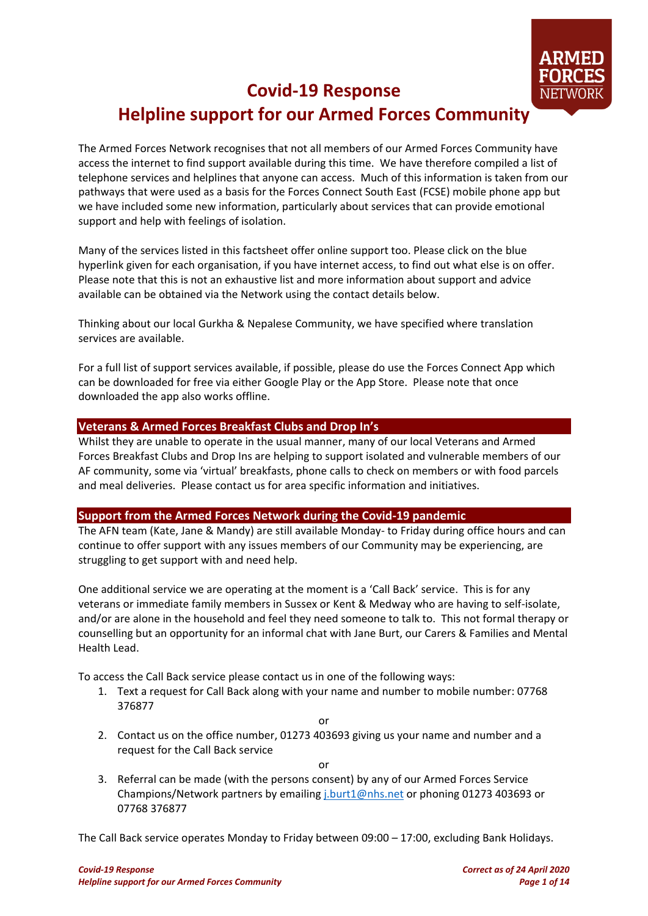

# **Covid-19 Response Helpline support for our Armed Forces Community**

The Armed Forces Network recognises that not all members of our Armed Forces Community have access the internet to find support available during this time. We have therefore compiled a list of telephone services and helplines that anyone can access. Much of this information is taken from our pathways that were used as a basis for the Forces Connect South East (FCSE) mobile phone app but we have included some new information, particularly about services that can provide emotional support and help with feelings of isolation.

Many of the services listed in this factsheet offer online support too. Please click on the blue hyperlink given for each organisation, if you have internet access, to find out what else is on offer. Please note that this is not an exhaustive list and more information about support and advice available can be obtained via the Network using the contact details below.

Thinking about our local Gurkha & Nepalese Community, we have specified where translation services are available.

For a full list of support services available, if possible, please do use the Forces Connect App which can be downloaded for free via either Google Play or the App Store. Please note that once downloaded the app also works offline.

#### **Veterans & Armed Forces Breakfast Clubs and Drop In's**

Whilst they are unable to operate in the usual manner, many of our local Veterans and Armed Forces Breakfast Clubs and Drop Ins are helping to support isolated and vulnerable members of our AF community, some via 'virtual' breakfasts, phone calls to check on members or with food parcels and meal deliveries. Please contact us for area specific information and initiatives.

#### **Support from the Armed Forces Network during the Covid-19 pandemic**

The AFN team (Kate, Jane & Mandy) are still available Monday- to Friday during office hours and can continue to offer support with any issues members of our Community may be experiencing, are struggling to get support with and need help.

One additional service we are operating at the moment is a 'Call Back' service. This is for any veterans or immediate family members in Sussex or Kent & Medway who are having to self-isolate, and/or are alone in the household and feel they need someone to talk to. This not formal therapy or counselling but an opportunity for an informal chat with Jane Burt, our Carers & Families and Mental Health Lead.

To access the Call Back service please contact us in one of the following ways:

1. Text a request for Call Back along with your name and number to mobile number: 07768 376877

or

2. Contact us on the office number, 01273 403693 giving us your name and number and a request for the Call Back service

or

3. Referral can be made (with the persons consent) by any of our Armed Forces Service Champions/Network partners by emailin[g j.burt1@nhs.net](mailto:j.burt1@nhs.net) or phoning 01273 403693 or 07768 376877

The Call Back service operates Monday to Friday between 09:00 – 17:00, excluding Bank Holidays.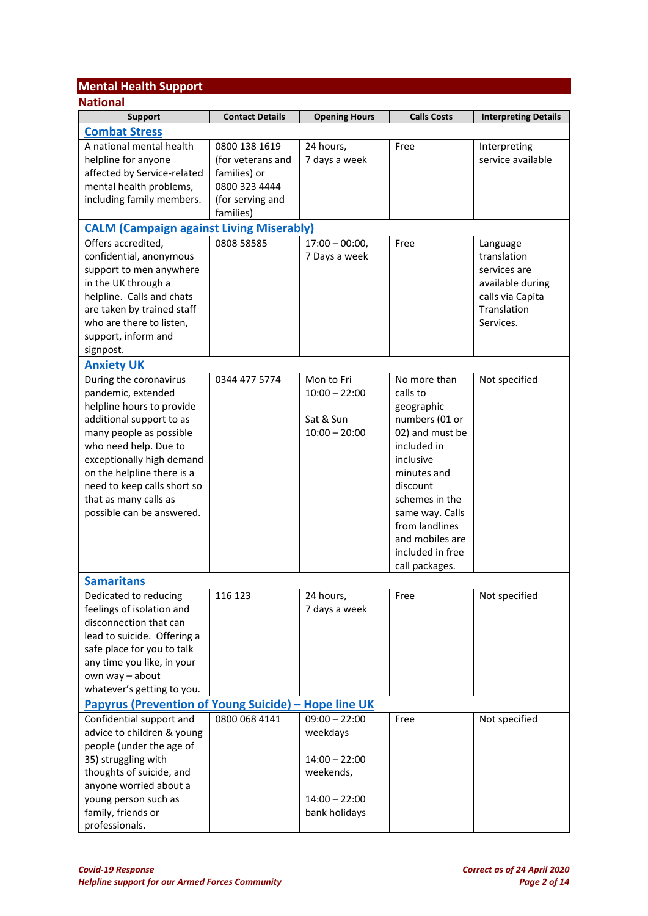## **Mental Health Support**

| <b>National</b>                                             |                        |                      |                    |                             |
|-------------------------------------------------------------|------------------------|----------------------|--------------------|-----------------------------|
| <b>Support</b>                                              | <b>Contact Details</b> | <b>Opening Hours</b> | <b>Calls Costs</b> | <b>Interpreting Details</b> |
| <b>Combat Stress</b>                                        |                        |                      |                    |                             |
| A national mental health                                    | 0800 138 1619          | 24 hours,            | Free               | Interpreting                |
| helpline for anyone                                         | (for veterans and      | 7 days a week        |                    | service available           |
| affected by Service-related                                 | families) or           |                      |                    |                             |
| mental health problems,                                     | 0800 323 4444          |                      |                    |                             |
| including family members.                                   | (for serving and       |                      |                    |                             |
|                                                             | families)              |                      |                    |                             |
| <b>CALM (Campaign against Living Miserably)</b>             |                        |                      |                    |                             |
| Offers accredited,                                          | 0808 58585             | $17:00 - 00:00,$     | Free               | Language                    |
| confidential, anonymous                                     |                        | 7 Days a week        |                    | translation                 |
| support to men anywhere                                     |                        |                      |                    | services are                |
| in the UK through a                                         |                        |                      |                    | available during            |
| helpline. Calls and chats                                   |                        |                      |                    | calls via Capita            |
| are taken by trained staff                                  |                        |                      |                    | Translation                 |
| who are there to listen,                                    |                        |                      |                    | Services.                   |
| support, inform and                                         |                        |                      |                    |                             |
| signpost.                                                   |                        |                      |                    |                             |
| <b>Anxiety UK</b>                                           |                        |                      |                    |                             |
| During the coronavirus                                      | 0344 477 5774          | Mon to Fri           | No more than       | Not specified               |
| pandemic, extended                                          |                        | $10:00 - 22:00$      | calls to           |                             |
| helpline hours to provide                                   |                        |                      | geographic         |                             |
| additional support to as                                    |                        | Sat & Sun            | numbers (01 or     |                             |
| many people as possible                                     |                        | $10:00 - 20:00$      | 02) and must be    |                             |
| who need help. Due to                                       |                        |                      | included in        |                             |
| exceptionally high demand                                   |                        |                      | inclusive          |                             |
| on the helpline there is a                                  |                        |                      | minutes and        |                             |
| need to keep calls short so                                 |                        |                      | discount           |                             |
| that as many calls as                                       |                        |                      | schemes in the     |                             |
| possible can be answered.                                   |                        |                      | same way. Calls    |                             |
|                                                             |                        |                      | from landlines     |                             |
|                                                             |                        |                      | and mobiles are    |                             |
|                                                             |                        |                      | included in free   |                             |
|                                                             |                        |                      | call packages.     |                             |
| <b>Samaritans</b>                                           |                        |                      |                    |                             |
| Dedicated to reducing                                       | 116 123                | 24 hours,            | Free               | Not specified               |
| feelings of isolation and                                   |                        | 7 days a week        |                    |                             |
| disconnection that can                                      |                        |                      |                    |                             |
| lead to suicide. Offering a                                 |                        |                      |                    |                             |
| safe place for you to talk                                  |                        |                      |                    |                             |
| any time you like, in your                                  |                        |                      |                    |                             |
| own way - about                                             |                        |                      |                    |                             |
| whatever's getting to you.                                  |                        |                      |                    |                             |
| <b>Papyrus (Prevention of Young Suicide) – Hope line UK</b> |                        |                      |                    |                             |
| Confidential support and                                    | 0800 068 4141          | $09:00 - 22:00$      | Free               | Not specified               |
| advice to children & young                                  |                        | weekdays             |                    |                             |
| people (under the age of                                    |                        |                      |                    |                             |
| 35) struggling with                                         |                        | $14:00 - 22:00$      |                    |                             |
| thoughts of suicide, and                                    |                        | weekends,            |                    |                             |
| anyone worried about a                                      |                        |                      |                    |                             |
| young person such as                                        |                        | $14:00 - 22:00$      |                    |                             |
| family, friends or                                          |                        | bank holidays        |                    |                             |
| professionals.                                              |                        |                      |                    |                             |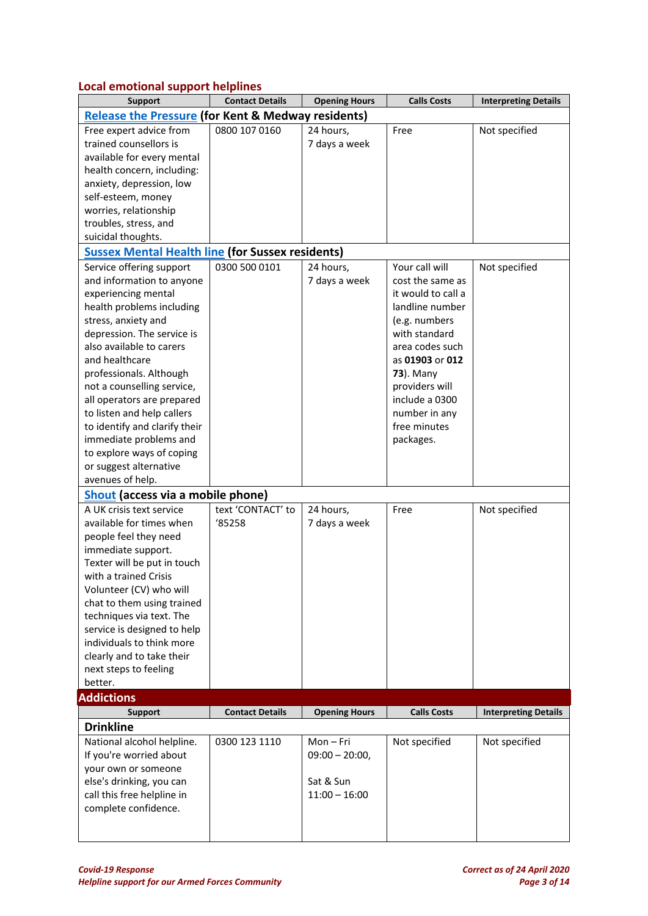### **Local emotional support helplines**

| . .<br><b>Support</b>                                         | <b>Contact Details</b> | <b>Opening Hours</b>         | <b>Calls Costs</b> | <b>Interpreting Details</b> |
|---------------------------------------------------------------|------------------------|------------------------------|--------------------|-----------------------------|
| <b>Release the Pressure (for Kent &amp; Medway residents)</b> |                        |                              |                    |                             |
| Free expert advice from                                       | 0800 107 0160          | 24 hours,                    | Free               | Not specified               |
| trained counsellors is                                        |                        | 7 days a week                |                    |                             |
| available for every mental                                    |                        |                              |                    |                             |
| health concern, including:                                    |                        |                              |                    |                             |
| anxiety, depression, low                                      |                        |                              |                    |                             |
| self-esteem, money                                            |                        |                              |                    |                             |
| worries, relationship                                         |                        |                              |                    |                             |
| troubles, stress, and                                         |                        |                              |                    |                             |
| suicidal thoughts.                                            |                        |                              |                    |                             |
| <b>Sussex Mental Health line (for Sussex residents)</b>       |                        |                              |                    |                             |
| Service offering support                                      | 0300 500 0101          | 24 hours,                    | Your call will     | Not specified               |
| and information to anyone                                     |                        | 7 days a week                | cost the same as   |                             |
| experiencing mental                                           |                        |                              | it would to call a |                             |
| health problems including                                     |                        |                              | landline number    |                             |
| stress, anxiety and                                           |                        |                              | (e.g. numbers      |                             |
| depression. The service is                                    |                        |                              | with standard      |                             |
| also available to carers                                      |                        |                              | area codes such    |                             |
| and healthcare                                                |                        |                              | as 01903 or 012    |                             |
| professionals. Although                                       |                        |                              | <b>73</b> ). Many  |                             |
| not a counselling service,                                    |                        |                              | providers will     |                             |
| all operators are prepared                                    |                        |                              | include a 0300     |                             |
| to listen and help callers                                    |                        |                              | number in any      |                             |
| to identify and clarify their                                 |                        |                              | free minutes       |                             |
| immediate problems and                                        |                        |                              | packages.          |                             |
| to explore ways of coping                                     |                        |                              |                    |                             |
| or suggest alternative                                        |                        |                              |                    |                             |
| avenues of help.                                              |                        |                              |                    |                             |
| Shout (access via a mobile phone)                             |                        |                              |                    |                             |
| A UK crisis text service                                      | text 'CONTACT' to      | 24 hours,                    | Free               | Not specified               |
| available for times when                                      | '85258                 | 7 days a week                |                    |                             |
| people feel they need                                         |                        |                              |                    |                             |
| immediate support.                                            |                        |                              |                    |                             |
| Texter will be put in touch                                   |                        |                              |                    |                             |
| with a trained Crisis                                         |                        |                              |                    |                             |
| Volunteer (CV) who will                                       |                        |                              |                    |                             |
| chat to them using trained                                    |                        |                              |                    |                             |
| techniques via text. The                                      |                        |                              |                    |                             |
| service is designed to help                                   |                        |                              |                    |                             |
| individuals to think more                                     |                        |                              |                    |                             |
| clearly and to take their                                     |                        |                              |                    |                             |
| next steps to feeling                                         |                        |                              |                    |                             |
| better.<br><b>Addictions</b>                                  |                        |                              |                    |                             |
| <b>Support</b>                                                | <b>Contact Details</b> | <b>Opening Hours</b>         | <b>Calls Costs</b> | <b>Interpreting Details</b> |
| <b>Drinkline</b>                                              |                        |                              |                    |                             |
|                                                               |                        |                              |                    |                             |
| National alcohol helpline.                                    | 0300 123 1110          | Mon-Fri                      | Not specified      | Not specified               |
| If you're worried about                                       |                        | $09:00 - 20:00,$             |                    |                             |
| your own or someone                                           |                        |                              |                    |                             |
| else's drinking, you can                                      |                        | Sat & Sun<br>$11:00 - 16:00$ |                    |                             |
| call this free helpline in                                    |                        |                              |                    |                             |
| complete confidence.                                          |                        |                              |                    |                             |
|                                                               |                        |                              |                    |                             |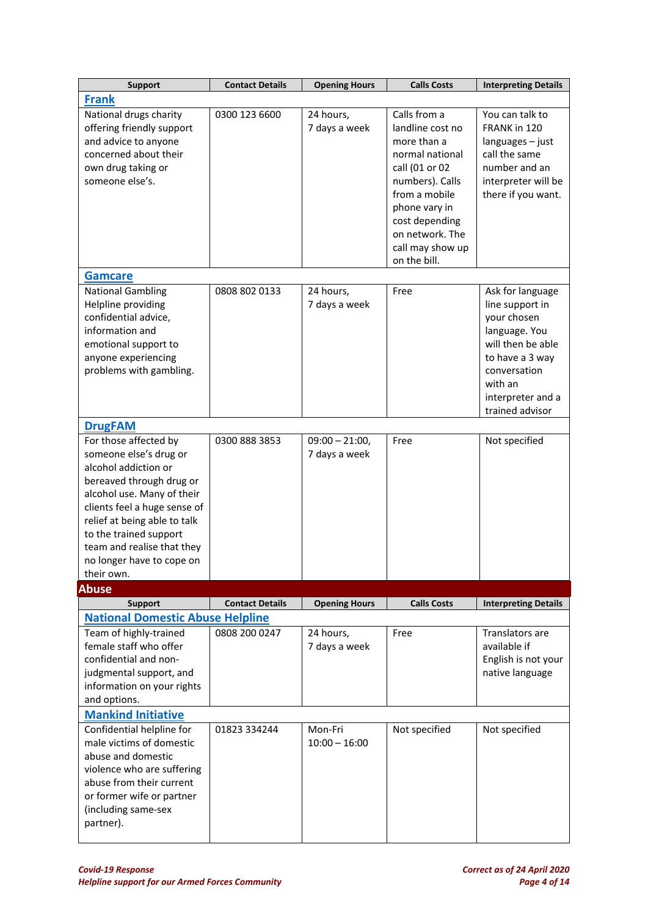| <b>Support</b>                                                                                                                                                                                                                                                                                       | <b>Contact Details</b> | <b>Opening Hours</b>              | <b>Calls Costs</b>                                                                                                                                                                                                 | <b>Interpreting Details</b>                                                                                                                                                    |
|------------------------------------------------------------------------------------------------------------------------------------------------------------------------------------------------------------------------------------------------------------------------------------------------------|------------------------|-----------------------------------|--------------------------------------------------------------------------------------------------------------------------------------------------------------------------------------------------------------------|--------------------------------------------------------------------------------------------------------------------------------------------------------------------------------|
| <b>Frank</b>                                                                                                                                                                                                                                                                                         |                        |                                   |                                                                                                                                                                                                                    |                                                                                                                                                                                |
| National drugs charity<br>offering friendly support<br>and advice to anyone<br>concerned about their<br>own drug taking or<br>someone else's.                                                                                                                                                        | 0300 123 6600          | 24 hours,<br>7 days a week        | Calls from a<br>landline cost no<br>more than a<br>normal national<br>call (01 or 02<br>numbers). Calls<br>from a mobile<br>phone vary in<br>cost depending<br>on network. The<br>call may show up<br>on the bill. | You can talk to<br>FRANK in 120<br>languages - just<br>call the same<br>number and an<br>interpreter will be<br>there if you want.                                             |
| <b>Gamcare</b>                                                                                                                                                                                                                                                                                       |                        |                                   |                                                                                                                                                                                                                    |                                                                                                                                                                                |
| <b>National Gambling</b><br>Helpline providing<br>confidential advice,<br>information and<br>emotional support to<br>anyone experiencing<br>problems with gambling.                                                                                                                                  | 0808 802 0133          | 24 hours,<br>7 days a week        | Free                                                                                                                                                                                                               | Ask for language<br>line support in<br>your chosen<br>language. You<br>will then be able<br>to have a 3 way<br>conversation<br>with an<br>interpreter and a<br>trained advisor |
| <b>DrugFAM</b>                                                                                                                                                                                                                                                                                       |                        |                                   |                                                                                                                                                                                                                    |                                                                                                                                                                                |
| For those affected by<br>someone else's drug or<br>alcohol addiction or<br>bereaved through drug or<br>alcohol use. Many of their<br>clients feel a huge sense of<br>relief at being able to talk<br>to the trained support<br>team and realise that they<br>no longer have to cope on<br>their own. | 0300 888 3853          | $09:00 - 21:00,$<br>7 days a week | Free                                                                                                                                                                                                               | Not specified                                                                                                                                                                  |
| <b>Abuse</b>                                                                                                                                                                                                                                                                                         |                        |                                   |                                                                                                                                                                                                                    |                                                                                                                                                                                |
| <b>Support</b>                                                                                                                                                                                                                                                                                       | <b>Contact Details</b> | <b>Opening Hours</b>              | <b>Calls Costs</b>                                                                                                                                                                                                 | <b>Interpreting Details</b>                                                                                                                                                    |
| <b>National Domestic Abuse Helpline</b><br>Team of highly-trained<br>female staff who offer<br>confidential and non-<br>judgmental support, and<br>information on your rights<br>and options.                                                                                                        | 0808 200 0247          | 24 hours,<br>7 days a week        | Free                                                                                                                                                                                                               | Translators are<br>available if<br>English is not your<br>native language                                                                                                      |
| <b>Mankind Initiative</b><br>Confidential helpline for<br>male victims of domestic<br>abuse and domestic<br>violence who are suffering<br>abuse from their current<br>or former wife or partner<br>(including same-sex<br>partner).                                                                  | 01823 334244           | Mon-Fri<br>$10:00 - 16:00$        | Not specified                                                                                                                                                                                                      | Not specified                                                                                                                                                                  |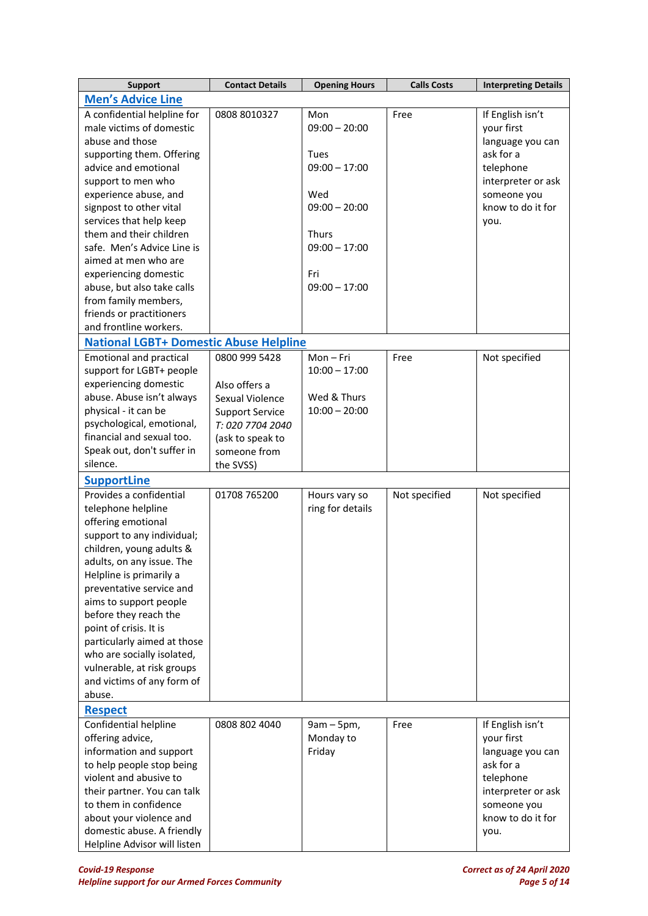| <b>Men's Advice Line</b><br>A confidential helpline for<br>If English isn't<br>0808 8010327<br>Mon<br>Free<br>male victims of domestic<br>$09:00 - 20:00$<br>your first<br>abuse and those<br>language you can<br>ask for a<br>supporting them. Offering<br>Tues<br>advice and emotional<br>$09:00 - 17:00$<br>telephone<br>support to men who<br>interpreter or ask<br>experience abuse, and<br>Wed<br>someone you<br>know to do it for<br>signpost to other vital<br>$09:00 - 20:00$<br>services that help keep<br>you.<br>them and their children<br>Thurs<br>safe. Men's Advice Line is<br>$09:00 - 17:00$<br>aimed at men who are<br>experiencing domestic<br>Fri<br>abuse, but also take calls<br>$09:00 - 17:00$<br>from family members,<br>friends or practitioners<br>and frontline workers.<br><b>National LGBT+ Domestic Abuse Helpline</b><br><b>Emotional and practical</b><br>0800 999 5428<br>Mon-Fri<br>Not specified<br>Free<br>support for LGBT+ people<br>$10:00 - 17:00$<br>experiencing domestic<br>Also offers a<br>abuse. Abuse isn't always<br>Wed & Thurs<br>Sexual Violence<br>$10:00 - 20:00$<br>physical - it can be<br><b>Support Service</b><br>psychological, emotional,<br>T: 020 7704 2040<br>financial and sexual too.<br>(ask to speak to<br>Speak out, don't suffer in<br>someone from<br>silence.<br>the SVSS)<br><b>SupportLine</b><br>01708 765200<br>Provides a confidential<br>Not specified<br>Not specified<br>Hours vary so<br>telephone helpline<br>ring for details<br>offering emotional<br>support to any individual;<br>children, young adults &<br>adults, on any issue. The<br>Helpline is primarily a<br>preventative service and<br>aims to support people<br>before they reach the<br>point of crisis. It is<br>particularly aimed at those<br>who are socially isolated,<br>vulnerable, at risk groups<br>and victims of any form of<br>abuse.<br><b>Respect</b><br>0808 802 4040<br>If English isn't<br>Confidential helpline<br>$9am - 5pm$ ,<br>Free<br>Monday to<br>your first<br>offering advice,<br>information and support<br>Friday<br>language you can | <b>Support</b>            | <b>Contact Details</b> | <b>Opening Hours</b> | <b>Calls Costs</b> | <b>Interpreting Details</b> |
|------------------------------------------------------------------------------------------------------------------------------------------------------------------------------------------------------------------------------------------------------------------------------------------------------------------------------------------------------------------------------------------------------------------------------------------------------------------------------------------------------------------------------------------------------------------------------------------------------------------------------------------------------------------------------------------------------------------------------------------------------------------------------------------------------------------------------------------------------------------------------------------------------------------------------------------------------------------------------------------------------------------------------------------------------------------------------------------------------------------------------------------------------------------------------------------------------------------------------------------------------------------------------------------------------------------------------------------------------------------------------------------------------------------------------------------------------------------------------------------------------------------------------------------------------------------------------------------------------------------------------------------------------------------------------------------------------------------------------------------------------------------------------------------------------------------------------------------------------------------------------------------------------------------------------------------------------------------------------------------------------------------------------------------------------------------------------------------------------------------------|---------------------------|------------------------|----------------------|--------------------|-----------------------------|
|                                                                                                                                                                                                                                                                                                                                                                                                                                                                                                                                                                                                                                                                                                                                                                                                                                                                                                                                                                                                                                                                                                                                                                                                                                                                                                                                                                                                                                                                                                                                                                                                                                                                                                                                                                                                                                                                                                                                                                                                                                                                                                                        |                           |                        |                      |                    |                             |
|                                                                                                                                                                                                                                                                                                                                                                                                                                                                                                                                                                                                                                                                                                                                                                                                                                                                                                                                                                                                                                                                                                                                                                                                                                                                                                                                                                                                                                                                                                                                                                                                                                                                                                                                                                                                                                                                                                                                                                                                                                                                                                                        |                           |                        |                      |                    |                             |
|                                                                                                                                                                                                                                                                                                                                                                                                                                                                                                                                                                                                                                                                                                                                                                                                                                                                                                                                                                                                                                                                                                                                                                                                                                                                                                                                                                                                                                                                                                                                                                                                                                                                                                                                                                                                                                                                                                                                                                                                                                                                                                                        |                           |                        |                      |                    |                             |
|                                                                                                                                                                                                                                                                                                                                                                                                                                                                                                                                                                                                                                                                                                                                                                                                                                                                                                                                                                                                                                                                                                                                                                                                                                                                                                                                                                                                                                                                                                                                                                                                                                                                                                                                                                                                                                                                                                                                                                                                                                                                                                                        |                           |                        |                      |                    |                             |
|                                                                                                                                                                                                                                                                                                                                                                                                                                                                                                                                                                                                                                                                                                                                                                                                                                                                                                                                                                                                                                                                                                                                                                                                                                                                                                                                                                                                                                                                                                                                                                                                                                                                                                                                                                                                                                                                                                                                                                                                                                                                                                                        |                           |                        |                      |                    |                             |
|                                                                                                                                                                                                                                                                                                                                                                                                                                                                                                                                                                                                                                                                                                                                                                                                                                                                                                                                                                                                                                                                                                                                                                                                                                                                                                                                                                                                                                                                                                                                                                                                                                                                                                                                                                                                                                                                                                                                                                                                                                                                                                                        |                           |                        |                      |                    |                             |
|                                                                                                                                                                                                                                                                                                                                                                                                                                                                                                                                                                                                                                                                                                                                                                                                                                                                                                                                                                                                                                                                                                                                                                                                                                                                                                                                                                                                                                                                                                                                                                                                                                                                                                                                                                                                                                                                                                                                                                                                                                                                                                                        |                           |                        |                      |                    |                             |
|                                                                                                                                                                                                                                                                                                                                                                                                                                                                                                                                                                                                                                                                                                                                                                                                                                                                                                                                                                                                                                                                                                                                                                                                                                                                                                                                                                                                                                                                                                                                                                                                                                                                                                                                                                                                                                                                                                                                                                                                                                                                                                                        |                           |                        |                      |                    |                             |
|                                                                                                                                                                                                                                                                                                                                                                                                                                                                                                                                                                                                                                                                                                                                                                                                                                                                                                                                                                                                                                                                                                                                                                                                                                                                                                                                                                                                                                                                                                                                                                                                                                                                                                                                                                                                                                                                                                                                                                                                                                                                                                                        |                           |                        |                      |                    |                             |
|                                                                                                                                                                                                                                                                                                                                                                                                                                                                                                                                                                                                                                                                                                                                                                                                                                                                                                                                                                                                                                                                                                                                                                                                                                                                                                                                                                                                                                                                                                                                                                                                                                                                                                                                                                                                                                                                                                                                                                                                                                                                                                                        |                           |                        |                      |                    |                             |
|                                                                                                                                                                                                                                                                                                                                                                                                                                                                                                                                                                                                                                                                                                                                                                                                                                                                                                                                                                                                                                                                                                                                                                                                                                                                                                                                                                                                                                                                                                                                                                                                                                                                                                                                                                                                                                                                                                                                                                                                                                                                                                                        |                           |                        |                      |                    |                             |
|                                                                                                                                                                                                                                                                                                                                                                                                                                                                                                                                                                                                                                                                                                                                                                                                                                                                                                                                                                                                                                                                                                                                                                                                                                                                                                                                                                                                                                                                                                                                                                                                                                                                                                                                                                                                                                                                                                                                                                                                                                                                                                                        |                           |                        |                      |                    |                             |
|                                                                                                                                                                                                                                                                                                                                                                                                                                                                                                                                                                                                                                                                                                                                                                                                                                                                                                                                                                                                                                                                                                                                                                                                                                                                                                                                                                                                                                                                                                                                                                                                                                                                                                                                                                                                                                                                                                                                                                                                                                                                                                                        |                           |                        |                      |                    |                             |
|                                                                                                                                                                                                                                                                                                                                                                                                                                                                                                                                                                                                                                                                                                                                                                                                                                                                                                                                                                                                                                                                                                                                                                                                                                                                                                                                                                                                                                                                                                                                                                                                                                                                                                                                                                                                                                                                                                                                                                                                                                                                                                                        |                           |                        |                      |                    |                             |
|                                                                                                                                                                                                                                                                                                                                                                                                                                                                                                                                                                                                                                                                                                                                                                                                                                                                                                                                                                                                                                                                                                                                                                                                                                                                                                                                                                                                                                                                                                                                                                                                                                                                                                                                                                                                                                                                                                                                                                                                                                                                                                                        |                           |                        |                      |                    |                             |
|                                                                                                                                                                                                                                                                                                                                                                                                                                                                                                                                                                                                                                                                                                                                                                                                                                                                                                                                                                                                                                                                                                                                                                                                                                                                                                                                                                                                                                                                                                                                                                                                                                                                                                                                                                                                                                                                                                                                                                                                                                                                                                                        |                           |                        |                      |                    |                             |
|                                                                                                                                                                                                                                                                                                                                                                                                                                                                                                                                                                                                                                                                                                                                                                                                                                                                                                                                                                                                                                                                                                                                                                                                                                                                                                                                                                                                                                                                                                                                                                                                                                                                                                                                                                                                                                                                                                                                                                                                                                                                                                                        |                           |                        |                      |                    |                             |
|                                                                                                                                                                                                                                                                                                                                                                                                                                                                                                                                                                                                                                                                                                                                                                                                                                                                                                                                                                                                                                                                                                                                                                                                                                                                                                                                                                                                                                                                                                                                                                                                                                                                                                                                                                                                                                                                                                                                                                                                                                                                                                                        |                           |                        |                      |                    |                             |
|                                                                                                                                                                                                                                                                                                                                                                                                                                                                                                                                                                                                                                                                                                                                                                                                                                                                                                                                                                                                                                                                                                                                                                                                                                                                                                                                                                                                                                                                                                                                                                                                                                                                                                                                                                                                                                                                                                                                                                                                                                                                                                                        |                           |                        |                      |                    |                             |
|                                                                                                                                                                                                                                                                                                                                                                                                                                                                                                                                                                                                                                                                                                                                                                                                                                                                                                                                                                                                                                                                                                                                                                                                                                                                                                                                                                                                                                                                                                                                                                                                                                                                                                                                                                                                                                                                                                                                                                                                                                                                                                                        |                           |                        |                      |                    |                             |
|                                                                                                                                                                                                                                                                                                                                                                                                                                                                                                                                                                                                                                                                                                                                                                                                                                                                                                                                                                                                                                                                                                                                                                                                                                                                                                                                                                                                                                                                                                                                                                                                                                                                                                                                                                                                                                                                                                                                                                                                                                                                                                                        |                           |                        |                      |                    |                             |
|                                                                                                                                                                                                                                                                                                                                                                                                                                                                                                                                                                                                                                                                                                                                                                                                                                                                                                                                                                                                                                                                                                                                                                                                                                                                                                                                                                                                                                                                                                                                                                                                                                                                                                                                                                                                                                                                                                                                                                                                                                                                                                                        |                           |                        |                      |                    |                             |
|                                                                                                                                                                                                                                                                                                                                                                                                                                                                                                                                                                                                                                                                                                                                                                                                                                                                                                                                                                                                                                                                                                                                                                                                                                                                                                                                                                                                                                                                                                                                                                                                                                                                                                                                                                                                                                                                                                                                                                                                                                                                                                                        |                           |                        |                      |                    |                             |
|                                                                                                                                                                                                                                                                                                                                                                                                                                                                                                                                                                                                                                                                                                                                                                                                                                                                                                                                                                                                                                                                                                                                                                                                                                                                                                                                                                                                                                                                                                                                                                                                                                                                                                                                                                                                                                                                                                                                                                                                                                                                                                                        |                           |                        |                      |                    |                             |
|                                                                                                                                                                                                                                                                                                                                                                                                                                                                                                                                                                                                                                                                                                                                                                                                                                                                                                                                                                                                                                                                                                                                                                                                                                                                                                                                                                                                                                                                                                                                                                                                                                                                                                                                                                                                                                                                                                                                                                                                                                                                                                                        |                           |                        |                      |                    |                             |
|                                                                                                                                                                                                                                                                                                                                                                                                                                                                                                                                                                                                                                                                                                                                                                                                                                                                                                                                                                                                                                                                                                                                                                                                                                                                                                                                                                                                                                                                                                                                                                                                                                                                                                                                                                                                                                                                                                                                                                                                                                                                                                                        |                           |                        |                      |                    |                             |
|                                                                                                                                                                                                                                                                                                                                                                                                                                                                                                                                                                                                                                                                                                                                                                                                                                                                                                                                                                                                                                                                                                                                                                                                                                                                                                                                                                                                                                                                                                                                                                                                                                                                                                                                                                                                                                                                                                                                                                                                                                                                                                                        |                           |                        |                      |                    |                             |
|                                                                                                                                                                                                                                                                                                                                                                                                                                                                                                                                                                                                                                                                                                                                                                                                                                                                                                                                                                                                                                                                                                                                                                                                                                                                                                                                                                                                                                                                                                                                                                                                                                                                                                                                                                                                                                                                                                                                                                                                                                                                                                                        |                           |                        |                      |                    |                             |
|                                                                                                                                                                                                                                                                                                                                                                                                                                                                                                                                                                                                                                                                                                                                                                                                                                                                                                                                                                                                                                                                                                                                                                                                                                                                                                                                                                                                                                                                                                                                                                                                                                                                                                                                                                                                                                                                                                                                                                                                                                                                                                                        |                           |                        |                      |                    |                             |
|                                                                                                                                                                                                                                                                                                                                                                                                                                                                                                                                                                                                                                                                                                                                                                                                                                                                                                                                                                                                                                                                                                                                                                                                                                                                                                                                                                                                                                                                                                                                                                                                                                                                                                                                                                                                                                                                                                                                                                                                                                                                                                                        |                           |                        |                      |                    |                             |
|                                                                                                                                                                                                                                                                                                                                                                                                                                                                                                                                                                                                                                                                                                                                                                                                                                                                                                                                                                                                                                                                                                                                                                                                                                                                                                                                                                                                                                                                                                                                                                                                                                                                                                                                                                                                                                                                                                                                                                                                                                                                                                                        |                           |                        |                      |                    |                             |
|                                                                                                                                                                                                                                                                                                                                                                                                                                                                                                                                                                                                                                                                                                                                                                                                                                                                                                                                                                                                                                                                                                                                                                                                                                                                                                                                                                                                                                                                                                                                                                                                                                                                                                                                                                                                                                                                                                                                                                                                                                                                                                                        |                           |                        |                      |                    |                             |
|                                                                                                                                                                                                                                                                                                                                                                                                                                                                                                                                                                                                                                                                                                                                                                                                                                                                                                                                                                                                                                                                                                                                                                                                                                                                                                                                                                                                                                                                                                                                                                                                                                                                                                                                                                                                                                                                                                                                                                                                                                                                                                                        |                           |                        |                      |                    |                             |
|                                                                                                                                                                                                                                                                                                                                                                                                                                                                                                                                                                                                                                                                                                                                                                                                                                                                                                                                                                                                                                                                                                                                                                                                                                                                                                                                                                                                                                                                                                                                                                                                                                                                                                                                                                                                                                                                                                                                                                                                                                                                                                                        |                           |                        |                      |                    |                             |
|                                                                                                                                                                                                                                                                                                                                                                                                                                                                                                                                                                                                                                                                                                                                                                                                                                                                                                                                                                                                                                                                                                                                                                                                                                                                                                                                                                                                                                                                                                                                                                                                                                                                                                                                                                                                                                                                                                                                                                                                                                                                                                                        |                           |                        |                      |                    |                             |
|                                                                                                                                                                                                                                                                                                                                                                                                                                                                                                                                                                                                                                                                                                                                                                                                                                                                                                                                                                                                                                                                                                                                                                                                                                                                                                                                                                                                                                                                                                                                                                                                                                                                                                                                                                                                                                                                                                                                                                                                                                                                                                                        |                           |                        |                      |                    |                             |
|                                                                                                                                                                                                                                                                                                                                                                                                                                                                                                                                                                                                                                                                                                                                                                                                                                                                                                                                                                                                                                                                                                                                                                                                                                                                                                                                                                                                                                                                                                                                                                                                                                                                                                                                                                                                                                                                                                                                                                                                                                                                                                                        |                           |                        |                      |                    |                             |
|                                                                                                                                                                                                                                                                                                                                                                                                                                                                                                                                                                                                                                                                                                                                                                                                                                                                                                                                                                                                                                                                                                                                                                                                                                                                                                                                                                                                                                                                                                                                                                                                                                                                                                                                                                                                                                                                                                                                                                                                                                                                                                                        |                           |                        |                      |                    |                             |
|                                                                                                                                                                                                                                                                                                                                                                                                                                                                                                                                                                                                                                                                                                                                                                                                                                                                                                                                                                                                                                                                                                                                                                                                                                                                                                                                                                                                                                                                                                                                                                                                                                                                                                                                                                                                                                                                                                                                                                                                                                                                                                                        |                           |                        |                      |                    |                             |
|                                                                                                                                                                                                                                                                                                                                                                                                                                                                                                                                                                                                                                                                                                                                                                                                                                                                                                                                                                                                                                                                                                                                                                                                                                                                                                                                                                                                                                                                                                                                                                                                                                                                                                                                                                                                                                                                                                                                                                                                                                                                                                                        |                           |                        |                      |                    |                             |
|                                                                                                                                                                                                                                                                                                                                                                                                                                                                                                                                                                                                                                                                                                                                                                                                                                                                                                                                                                                                                                                                                                                                                                                                                                                                                                                                                                                                                                                                                                                                                                                                                                                                                                                                                                                                                                                                                                                                                                                                                                                                                                                        |                           |                        |                      |                    |                             |
|                                                                                                                                                                                                                                                                                                                                                                                                                                                                                                                                                                                                                                                                                                                                                                                                                                                                                                                                                                                                                                                                                                                                                                                                                                                                                                                                                                                                                                                                                                                                                                                                                                                                                                                                                                                                                                                                                                                                                                                                                                                                                                                        |                           |                        |                      |                    |                             |
|                                                                                                                                                                                                                                                                                                                                                                                                                                                                                                                                                                                                                                                                                                                                                                                                                                                                                                                                                                                                                                                                                                                                                                                                                                                                                                                                                                                                                                                                                                                                                                                                                                                                                                                                                                                                                                                                                                                                                                                                                                                                                                                        |                           |                        |                      |                    |                             |
|                                                                                                                                                                                                                                                                                                                                                                                                                                                                                                                                                                                                                                                                                                                                                                                                                                                                                                                                                                                                                                                                                                                                                                                                                                                                                                                                                                                                                                                                                                                                                                                                                                                                                                                                                                                                                                                                                                                                                                                                                                                                                                                        |                           |                        |                      |                    |                             |
|                                                                                                                                                                                                                                                                                                                                                                                                                                                                                                                                                                                                                                                                                                                                                                                                                                                                                                                                                                                                                                                                                                                                                                                                                                                                                                                                                                                                                                                                                                                                                                                                                                                                                                                                                                                                                                                                                                                                                                                                                                                                                                                        |                           |                        |                      |                    |                             |
|                                                                                                                                                                                                                                                                                                                                                                                                                                                                                                                                                                                                                                                                                                                                                                                                                                                                                                                                                                                                                                                                                                                                                                                                                                                                                                                                                                                                                                                                                                                                                                                                                                                                                                                                                                                                                                                                                                                                                                                                                                                                                                                        |                           |                        |                      |                    |                             |
|                                                                                                                                                                                                                                                                                                                                                                                                                                                                                                                                                                                                                                                                                                                                                                                                                                                                                                                                                                                                                                                                                                                                                                                                                                                                                                                                                                                                                                                                                                                                                                                                                                                                                                                                                                                                                                                                                                                                                                                                                                                                                                                        |                           |                        |                      |                    |                             |
|                                                                                                                                                                                                                                                                                                                                                                                                                                                                                                                                                                                                                                                                                                                                                                                                                                                                                                                                                                                                                                                                                                                                                                                                                                                                                                                                                                                                                                                                                                                                                                                                                                                                                                                                                                                                                                                                                                                                                                                                                                                                                                                        |                           |                        |                      |                    |                             |
|                                                                                                                                                                                                                                                                                                                                                                                                                                                                                                                                                                                                                                                                                                                                                                                                                                                                                                                                                                                                                                                                                                                                                                                                                                                                                                                                                                                                                                                                                                                                                                                                                                                                                                                                                                                                                                                                                                                                                                                                                                                                                                                        |                           |                        |                      |                    |                             |
|                                                                                                                                                                                                                                                                                                                                                                                                                                                                                                                                                                                                                                                                                                                                                                                                                                                                                                                                                                                                                                                                                                                                                                                                                                                                                                                                                                                                                                                                                                                                                                                                                                                                                                                                                                                                                                                                                                                                                                                                                                                                                                                        | to help people stop being |                        |                      |                    | ask for a                   |
| violent and abusive to<br>telephone                                                                                                                                                                                                                                                                                                                                                                                                                                                                                                                                                                                                                                                                                                                                                                                                                                                                                                                                                                                                                                                                                                                                                                                                                                                                                                                                                                                                                                                                                                                                                                                                                                                                                                                                                                                                                                                                                                                                                                                                                                                                                    |                           |                        |                      |                    |                             |
| their partner. You can talk<br>interpreter or ask                                                                                                                                                                                                                                                                                                                                                                                                                                                                                                                                                                                                                                                                                                                                                                                                                                                                                                                                                                                                                                                                                                                                                                                                                                                                                                                                                                                                                                                                                                                                                                                                                                                                                                                                                                                                                                                                                                                                                                                                                                                                      |                           |                        |                      |                    |                             |
| to them in confidence<br>someone you                                                                                                                                                                                                                                                                                                                                                                                                                                                                                                                                                                                                                                                                                                                                                                                                                                                                                                                                                                                                                                                                                                                                                                                                                                                                                                                                                                                                                                                                                                                                                                                                                                                                                                                                                                                                                                                                                                                                                                                                                                                                                   |                           |                        |                      |                    |                             |
| about your violence and<br>know to do it for                                                                                                                                                                                                                                                                                                                                                                                                                                                                                                                                                                                                                                                                                                                                                                                                                                                                                                                                                                                                                                                                                                                                                                                                                                                                                                                                                                                                                                                                                                                                                                                                                                                                                                                                                                                                                                                                                                                                                                                                                                                                           |                           |                        |                      |                    |                             |
| domestic abuse. A friendly                                                                                                                                                                                                                                                                                                                                                                                                                                                                                                                                                                                                                                                                                                                                                                                                                                                                                                                                                                                                                                                                                                                                                                                                                                                                                                                                                                                                                                                                                                                                                                                                                                                                                                                                                                                                                                                                                                                                                                                                                                                                                             |                           |                        |                      |                    |                             |
| you.<br>Helpline Advisor will listen                                                                                                                                                                                                                                                                                                                                                                                                                                                                                                                                                                                                                                                                                                                                                                                                                                                                                                                                                                                                                                                                                                                                                                                                                                                                                                                                                                                                                                                                                                                                                                                                                                                                                                                                                                                                                                                                                                                                                                                                                                                                                   |                           |                        |                      |                    |                             |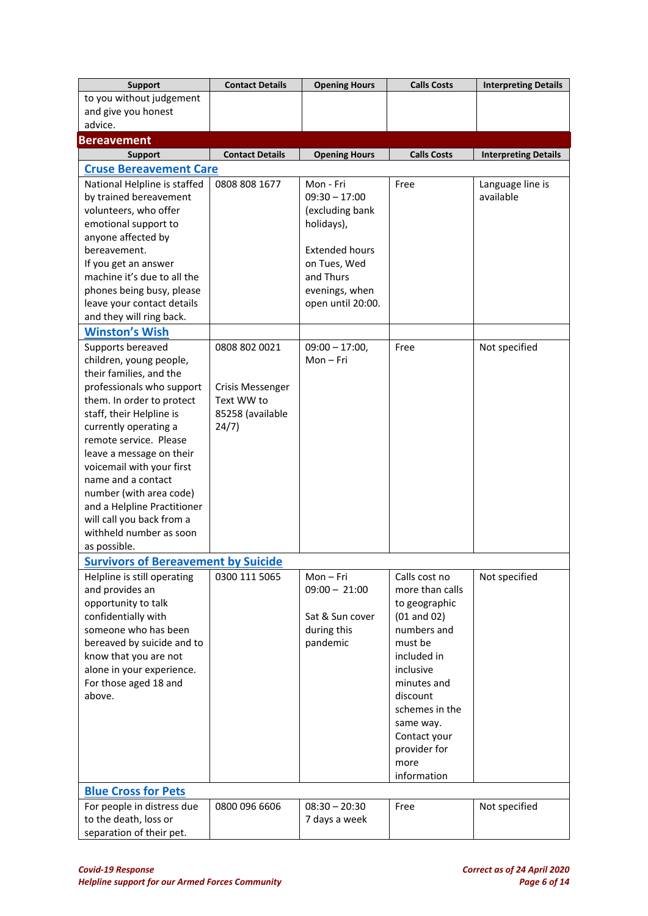| <b>Support</b>                                          | <b>Contact Details</b>  | <b>Opening Hours</b>                | <b>Calls Costs</b>             | <b>Interpreting Details</b> |
|---------------------------------------------------------|-------------------------|-------------------------------------|--------------------------------|-----------------------------|
| to you without judgement                                |                         |                                     |                                |                             |
| and give you honest                                     |                         |                                     |                                |                             |
| advice.                                                 |                         |                                     |                                |                             |
| <b>Bereavement</b>                                      |                         |                                     |                                |                             |
| <b>Support</b>                                          | <b>Contact Details</b>  | <b>Opening Hours</b>                | <b>Calls Costs</b>             | <b>Interpreting Details</b> |
| <b>Cruse Bereavement Care</b>                           |                         |                                     |                                |                             |
| National Helpline is staffed                            | 0808 808 1677           | Mon - Fri                           | Free                           | Language line is            |
| by trained bereavement                                  |                         | $09:30 - 17:00$                     |                                | available                   |
| volunteers, who offer                                   |                         | (excluding bank                     |                                |                             |
| emotional support to                                    |                         | holidays),                          |                                |                             |
| anyone affected by                                      |                         |                                     |                                |                             |
| bereavement.                                            |                         | <b>Extended hours</b>               |                                |                             |
| If you get an answer                                    |                         | on Tues, Wed                        |                                |                             |
| machine it's due to all the                             |                         | and Thurs                           |                                |                             |
| phones being busy, please<br>leave your contact details |                         | evenings, when<br>open until 20:00. |                                |                             |
| and they will ring back.                                |                         |                                     |                                |                             |
| <b>Winston's Wish</b>                                   |                         |                                     |                                |                             |
|                                                         |                         |                                     |                                |                             |
| Supports bereaved<br>children, young people,            | 0808 802 0021           | $09:00 - 17:00,$<br>$Mon-Fri$       | Free                           | Not specified               |
| their families, and the                                 |                         |                                     |                                |                             |
| professionals who support                               | <b>Crisis Messenger</b> |                                     |                                |                             |
| them. In order to protect                               | Text WW to              |                                     |                                |                             |
| staff, their Helpline is                                | 85258 (available        |                                     |                                |                             |
| currently operating a                                   | 24/7)                   |                                     |                                |                             |
| remote service. Please                                  |                         |                                     |                                |                             |
| leave a message on their                                |                         |                                     |                                |                             |
| voicemail with your first                               |                         |                                     |                                |                             |
| name and a contact                                      |                         |                                     |                                |                             |
| number (with area code)                                 |                         |                                     |                                |                             |
| and a Helpline Practitioner                             |                         |                                     |                                |                             |
| will call you back from a                               |                         |                                     |                                |                             |
| withheld number as soon                                 |                         |                                     |                                |                             |
| as possible.                                            |                         |                                     |                                |                             |
| <b>Survivors of Bereavement by Suicide</b>              |                         |                                     |                                |                             |
| Helpline is still operating                             | 0300 111 5065           | Mon-Fri                             | Calls cost no                  | Not specified               |
| and provides an                                         |                         | $09:00 - 21:00$                     | more than calls                |                             |
| opportunity to talk                                     |                         |                                     | to geographic                  |                             |
| confidentially with<br>someone who has been             |                         | Sat & Sun cover                     | $(01$ and $02)$<br>numbers and |                             |
| bereaved by suicide and to                              |                         | during this<br>pandemic             | must be                        |                             |
| know that you are not                                   |                         |                                     | included in                    |                             |
| alone in your experience.                               |                         |                                     | inclusive                      |                             |
| For those aged 18 and                                   |                         |                                     | minutes and                    |                             |
| above.                                                  |                         |                                     | discount                       |                             |
|                                                         |                         |                                     | schemes in the                 |                             |
|                                                         |                         |                                     | same way.                      |                             |
|                                                         |                         |                                     | Contact your                   |                             |
|                                                         |                         |                                     | provider for                   |                             |
|                                                         |                         |                                     | more                           |                             |
|                                                         |                         |                                     | information                    |                             |
| <b>Blue Cross for Pets</b>                              |                         |                                     |                                |                             |
| For people in distress due                              | 0800 096 6606           | $08:30 - 20:30$                     | Free                           | Not specified               |
| to the death, loss or                                   |                         | 7 days a week                       |                                |                             |
| separation of their pet.                                |                         |                                     |                                |                             |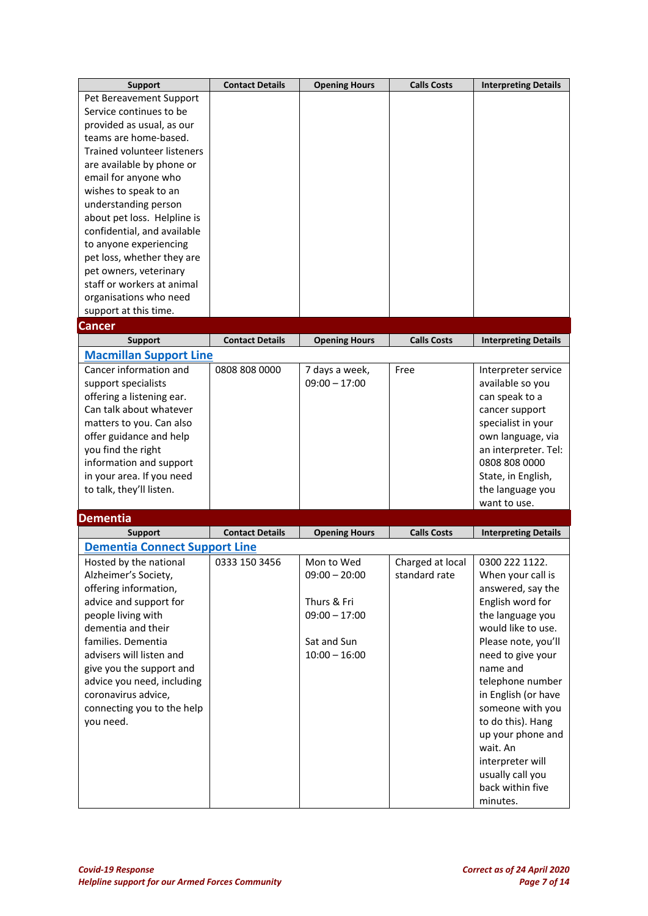| <b>Support</b>                                             | <b>Contact Details</b> | <b>Opening Hours</b>           | <b>Calls Costs</b> | <b>Interpreting Details</b>              |
|------------------------------------------------------------|------------------------|--------------------------------|--------------------|------------------------------------------|
| Pet Bereavement Support                                    |                        |                                |                    |                                          |
| Service continues to be                                    |                        |                                |                    |                                          |
| provided as usual, as our                                  |                        |                                |                    |                                          |
| teams are home-based.                                      |                        |                                |                    |                                          |
| <b>Trained volunteer listeners</b>                         |                        |                                |                    |                                          |
| are available by phone or                                  |                        |                                |                    |                                          |
| email for anyone who                                       |                        |                                |                    |                                          |
| wishes to speak to an                                      |                        |                                |                    |                                          |
| understanding person                                       |                        |                                |                    |                                          |
| about pet loss. Helpline is<br>confidential, and available |                        |                                |                    |                                          |
| to anyone experiencing                                     |                        |                                |                    |                                          |
| pet loss, whether they are                                 |                        |                                |                    |                                          |
| pet owners, veterinary                                     |                        |                                |                    |                                          |
| staff or workers at animal                                 |                        |                                |                    |                                          |
| organisations who need                                     |                        |                                |                    |                                          |
| support at this time.                                      |                        |                                |                    |                                          |
| Cancer                                                     |                        |                                |                    |                                          |
| <b>Support</b>                                             | <b>Contact Details</b> | <b>Opening Hours</b>           | <b>Calls Costs</b> | <b>Interpreting Details</b>              |
| <b>Macmillan Support Line</b>                              |                        |                                |                    |                                          |
| Cancer information and                                     | 0808 808 0000          | 7 days a week,                 | Free               | Interpreter service                      |
| support specialists                                        |                        | $09:00 - 17:00$                |                    | available so you                         |
| offering a listening ear.                                  |                        |                                |                    | can speak to a                           |
| Can talk about whatever                                    |                        |                                |                    | cancer support                           |
| matters to you. Can also                                   |                        |                                |                    | specialist in your                       |
| offer guidance and help                                    |                        |                                |                    | own language, via                        |
| you find the right                                         |                        |                                |                    | an interpreter. Tel:                     |
| information and support                                    |                        |                                |                    | 0808 808 0000                            |
| in your area. If you need                                  |                        |                                |                    | State, in English,                       |
| to talk, they'll listen.                                   |                        |                                |                    | the language you                         |
|                                                            |                        |                                |                    | want to use.                             |
| <b>Dementia</b>                                            |                        |                                |                    |                                          |
| <b>Support</b>                                             | <b>Contact Details</b> | <b>Opening Hours</b>           | <b>Calls Costs</b> | <b>Interpreting Details</b>              |
| <b>Dementia Connect Support Line</b>                       |                        |                                |                    |                                          |
| Hosted by the national                                     | 0333 150 3456          | Mon to Wed                     | Charged at local   | 0300 222 1122.                           |
| Alzheimer's Society,                                       |                        | $09:00 - 20:00$                | standard rate      | When your call is                        |
| offering information,                                      |                        |                                |                    | answered, say the                        |
| advice and support for                                     |                        | Thurs & Fri                    |                    | English word for                         |
| people living with                                         |                        | $09:00 - 17:00$                |                    | the language you                         |
| dementia and their<br>families. Dementia                   |                        |                                |                    | would like to use.                       |
| advisers will listen and                                   |                        | Sat and Sun<br>$10:00 - 16:00$ |                    | Please note, you'll<br>need to give your |
| give you the support and                                   |                        |                                |                    | name and                                 |
| advice you need, including                                 |                        |                                |                    | telephone number                         |
| coronavirus advice,                                        |                        |                                |                    | in English (or have                      |
| connecting you to the help                                 |                        |                                |                    | someone with you                         |
| you need.                                                  |                        |                                |                    | to do this). Hang                        |
|                                                            |                        |                                |                    | up your phone and                        |
|                                                            |                        |                                |                    | wait. An                                 |
|                                                            |                        |                                |                    | interpreter will                         |
|                                                            |                        |                                |                    | usually call you                         |
|                                                            |                        |                                |                    | back within five                         |
|                                                            |                        |                                |                    | minutes.                                 |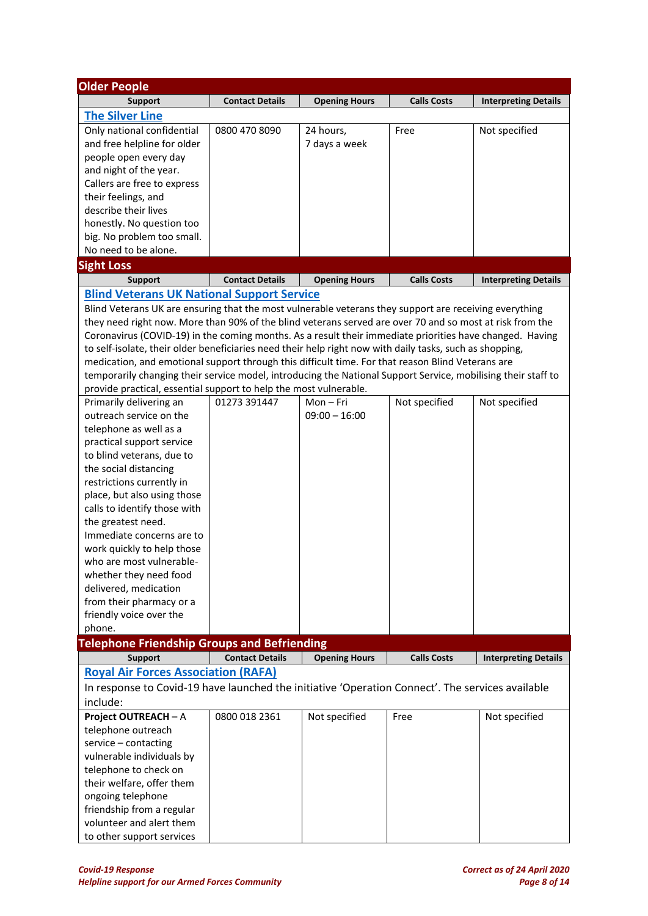| <b>Older People</b>                                                                                           |                        |                      |                    |                             |
|---------------------------------------------------------------------------------------------------------------|------------------------|----------------------|--------------------|-----------------------------|
| <b>Support</b>                                                                                                | <b>Contact Details</b> | <b>Opening Hours</b> | <b>Calls Costs</b> | <b>Interpreting Details</b> |
| <b>The Silver Line</b>                                                                                        |                        |                      |                    |                             |
| Only national confidential                                                                                    | 0800 470 8090          | 24 hours,            | Free               | Not specified               |
| and free helpline for older                                                                                   |                        | 7 days a week        |                    |                             |
| people open every day                                                                                         |                        |                      |                    |                             |
| and night of the year.                                                                                        |                        |                      |                    |                             |
| Callers are free to express                                                                                   |                        |                      |                    |                             |
| their feelings, and                                                                                           |                        |                      |                    |                             |
| describe their lives                                                                                          |                        |                      |                    |                             |
| honestly. No question too                                                                                     |                        |                      |                    |                             |
| big. No problem too small.                                                                                    |                        |                      |                    |                             |
| No need to be alone.                                                                                          |                        |                      |                    |                             |
| <b>Sight Loss</b>                                                                                             |                        |                      |                    |                             |
| <b>Support</b>                                                                                                | <b>Contact Details</b> | <b>Opening Hours</b> | <b>Calls Costs</b> | <b>Interpreting Details</b> |
| <b>Blind Veterans UK National Support Service</b>                                                             |                        |                      |                    |                             |
| Blind Veterans UK are ensuring that the most vulnerable veterans they support are receiving everything        |                        |                      |                    |                             |
| they need right now. More than 90% of the blind veterans served are over 70 and so most at risk from the      |                        |                      |                    |                             |
| Coronavirus (COVID-19) in the coming months. As a result their immediate priorities have changed. Having      |                        |                      |                    |                             |
| to self-isolate, their older beneficiaries need their help right now with daily tasks, such as shopping,      |                        |                      |                    |                             |
| medication, and emotional support through this difficult time. For that reason Blind Veterans are             |                        |                      |                    |                             |
| temporarily changing their service model, introducing the National Support Service, mobilising their staff to |                        |                      |                    |                             |
| provide practical, essential support to help the most vulnerable.                                             |                        | $Mon-Fri$            |                    |                             |
| Primarily delivering an<br>outreach service on the                                                            | 01273 391447           | $09:00 - 16:00$      | Not specified      | Not specified               |
| telephone as well as a                                                                                        |                        |                      |                    |                             |
| practical support service                                                                                     |                        |                      |                    |                             |
| to blind veterans, due to                                                                                     |                        |                      |                    |                             |
| the social distancing                                                                                         |                        |                      |                    |                             |
| restrictions currently in                                                                                     |                        |                      |                    |                             |
| place, but also using those                                                                                   |                        |                      |                    |                             |
| calls to identify those with                                                                                  |                        |                      |                    |                             |
| the greatest need.                                                                                            |                        |                      |                    |                             |
| Immediate concerns are to                                                                                     |                        |                      |                    |                             |
| work quickly to help those                                                                                    |                        |                      |                    |                             |
| who are most vulnerable-                                                                                      |                        |                      |                    |                             |
| whether they need food                                                                                        |                        |                      |                    |                             |
| delivered, medication                                                                                         |                        |                      |                    |                             |
| from their pharmacy or a                                                                                      |                        |                      |                    |                             |
| friendly voice over the                                                                                       |                        |                      |                    |                             |
| phone.                                                                                                        |                        |                      |                    |                             |
| <b>Telephone Friendship Groups and Befriending</b>                                                            |                        |                      |                    |                             |
| <b>Support</b>                                                                                                | <b>Contact Details</b> | <b>Opening Hours</b> | <b>Calls Costs</b> | <b>Interpreting Details</b> |
| <b>Royal Air Forces Association (RAFA)</b>                                                                    |                        |                      |                    |                             |
| In response to Covid-19 have launched the initiative 'Operation Connect'. The services available              |                        |                      |                    |                             |
| include:                                                                                                      |                        |                      |                    |                             |
| Project OUTREACH - A                                                                                          | 0800 018 2361          | Not specified        | Free               | Not specified               |
| telephone outreach                                                                                            |                        |                      |                    |                             |
| service - contacting                                                                                          |                        |                      |                    |                             |
| vulnerable individuals by                                                                                     |                        |                      |                    |                             |
| telephone to check on                                                                                         |                        |                      |                    |                             |
| their welfare, offer them                                                                                     |                        |                      |                    |                             |
| ongoing telephone                                                                                             |                        |                      |                    |                             |
| friendship from a regular                                                                                     |                        |                      |                    |                             |
| volunteer and alert them                                                                                      |                        |                      |                    |                             |
| to other support services                                                                                     |                        |                      |                    |                             |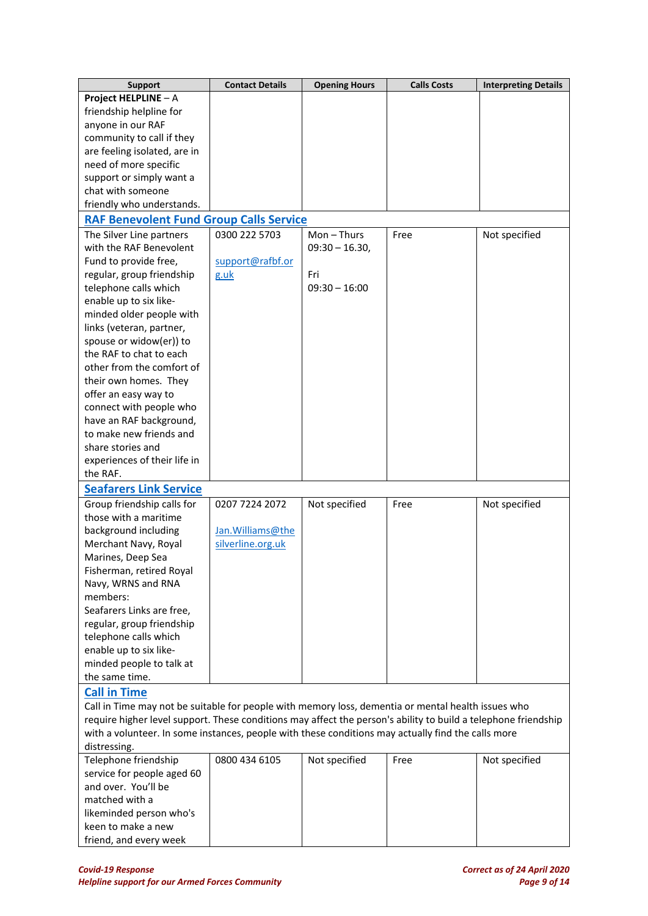| <b>Support</b>                                                                                                 | <b>Contact Details</b> | <b>Opening Hours</b> | <b>Calls Costs</b> | <b>Interpreting Details</b> |
|----------------------------------------------------------------------------------------------------------------|------------------------|----------------------|--------------------|-----------------------------|
| Project HELPLINE - A                                                                                           |                        |                      |                    |                             |
| friendship helpline for                                                                                        |                        |                      |                    |                             |
| anyone in our RAF                                                                                              |                        |                      |                    |                             |
| community to call if they                                                                                      |                        |                      |                    |                             |
| are feeling isolated, are in                                                                                   |                        |                      |                    |                             |
| need of more specific                                                                                          |                        |                      |                    |                             |
| support or simply want a                                                                                       |                        |                      |                    |                             |
| chat with someone                                                                                              |                        |                      |                    |                             |
| friendly who understands.                                                                                      |                        |                      |                    |                             |
| <b>RAF Benevolent Fund Group Calls Service</b>                                                                 |                        |                      |                    |                             |
| The Silver Line partners                                                                                       | 0300 222 5703          | $Mon - Thus$         | Free               | Not specified               |
| with the RAF Benevolent                                                                                        |                        | $09:30 - 16.30,$     |                    |                             |
| Fund to provide free,                                                                                          | support@rafbf.or       |                      |                    |                             |
| regular, group friendship                                                                                      | g.uk                   | Fri                  |                    |                             |
| telephone calls which                                                                                          |                        | $09:30 - 16:00$      |                    |                             |
| enable up to six like-                                                                                         |                        |                      |                    |                             |
| minded older people with                                                                                       |                        |                      |                    |                             |
| links (veteran, partner,                                                                                       |                        |                      |                    |                             |
| spouse or widow(er)) to                                                                                        |                        |                      |                    |                             |
| the RAF to chat to each                                                                                        |                        |                      |                    |                             |
| other from the comfort of                                                                                      |                        |                      |                    |                             |
| their own homes. They                                                                                          |                        |                      |                    |                             |
| offer an easy way to                                                                                           |                        |                      |                    |                             |
| connect with people who                                                                                        |                        |                      |                    |                             |
| have an RAF background,                                                                                        |                        |                      |                    |                             |
| to make new friends and                                                                                        |                        |                      |                    |                             |
| share stories and                                                                                              |                        |                      |                    |                             |
| experiences of their life in                                                                                   |                        |                      |                    |                             |
| the RAF.                                                                                                       |                        |                      |                    |                             |
| <b>Seafarers Link Service</b>                                                                                  |                        |                      |                    |                             |
| Group friendship calls for                                                                                     | 0207 7224 2072         | Not specified        | Free               | Not specified               |
| those with a maritime                                                                                          |                        |                      |                    |                             |
| background including                                                                                           | Jan. Williams@the      |                      |                    |                             |
| Merchant Navy, Royal                                                                                           | silverline.org.uk      |                      |                    |                             |
| Marines, Deep Sea                                                                                              |                        |                      |                    |                             |
| Fisherman, retired Royal                                                                                       |                        |                      |                    |                             |
| Navy, WRNS and RNA                                                                                             |                        |                      |                    |                             |
| members:                                                                                                       |                        |                      |                    |                             |
| Seafarers Links are free,                                                                                      |                        |                      |                    |                             |
| regular, group friendship                                                                                      |                        |                      |                    |                             |
| telephone calls which                                                                                          |                        |                      |                    |                             |
| enable up to six like-                                                                                         |                        |                      |                    |                             |
| minded people to talk at                                                                                       |                        |                      |                    |                             |
| the same time.                                                                                                 |                        |                      |                    |                             |
| <b>Call in Time</b>                                                                                            |                        |                      |                    |                             |
| Call in Time may not be suitable for people with memory loss, dementia or mental health issues who             |                        |                      |                    |                             |
| require higher level support. These conditions may affect the person's ability to build a telephone friendship |                        |                      |                    |                             |
| with a volunteer. In some instances, people with these conditions may actually find the calls more             |                        |                      |                    |                             |
| distressing.                                                                                                   | 0800 434 6105          |                      |                    |                             |
| Telephone friendship<br>service for people aged 60                                                             |                        | Not specified        | Free               | Not specified               |
| and over. You'll be                                                                                            |                        |                      |                    |                             |
| matched with a                                                                                                 |                        |                      |                    |                             |
| likeminded person who's                                                                                        |                        |                      |                    |                             |
| keen to make a new                                                                                             |                        |                      |                    |                             |
| friend, and every week                                                                                         |                        |                      |                    |                             |
|                                                                                                                |                        |                      |                    |                             |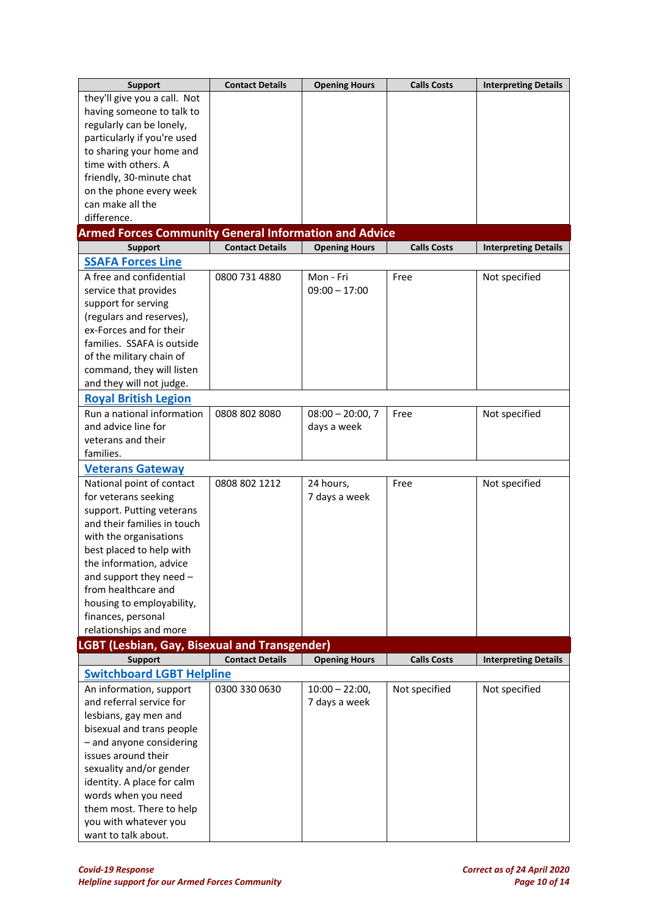| <b>Support</b>                                               | <b>Contact Details</b> | <b>Opening Hours</b> | <b>Calls Costs</b> | <b>Interpreting Details</b> |
|--------------------------------------------------------------|------------------------|----------------------|--------------------|-----------------------------|
| they'll give you a call. Not                                 |                        |                      |                    |                             |
| having someone to talk to                                    |                        |                      |                    |                             |
| regularly can be lonely,                                     |                        |                      |                    |                             |
| particularly if you're used                                  |                        |                      |                    |                             |
| to sharing your home and                                     |                        |                      |                    |                             |
| time with others. A                                          |                        |                      |                    |                             |
| friendly, 30-minute chat                                     |                        |                      |                    |                             |
| on the phone every week                                      |                        |                      |                    |                             |
| can make all the                                             |                        |                      |                    |                             |
| difference.                                                  |                        |                      |                    |                             |
| <b>Armed Forces Community General Information and Advice</b> |                        |                      |                    |                             |
| <b>Support</b>                                               | <b>Contact Details</b> | <b>Opening Hours</b> | <b>Calls Costs</b> | <b>Interpreting Details</b> |
| <b>SSAFA Forces Line</b>                                     |                        |                      |                    |                             |
| A free and confidential                                      | 0800 731 4880          | Mon - Fri            | Free               | Not specified               |
| service that provides                                        |                        | $09:00 - 17:00$      |                    |                             |
| support for serving                                          |                        |                      |                    |                             |
| (regulars and reserves),                                     |                        |                      |                    |                             |
| ex-Forces and for their                                      |                        |                      |                    |                             |
| families. SSAFA is outside                                   |                        |                      |                    |                             |
| of the military chain of                                     |                        |                      |                    |                             |
| command, they will listen                                    |                        |                      |                    |                             |
| and they will not judge.                                     |                        |                      |                    |                             |
| <b>Royal British Legion</b>                                  |                        |                      |                    |                             |
| Run a national information                                   |                        | $08:00 - 20:00,7$    |                    |                             |
| and advice line for                                          | 0808 802 8080          |                      | Free               | Not specified               |
|                                                              |                        | days a week          |                    |                             |
| veterans and their<br>families.                              |                        |                      |                    |                             |
|                                                              |                        |                      |                    |                             |
| <b>Veterans Gateway</b>                                      |                        |                      |                    |                             |
| National point of contact                                    | 0808 802 1212          | 24 hours,            | Free               | Not specified               |
| for veterans seeking                                         |                        | 7 days a week        |                    |                             |
| support. Putting veterans                                    |                        |                      |                    |                             |
| and their families in touch                                  |                        |                      |                    |                             |
| with the organisations                                       |                        |                      |                    |                             |
| best placed to help with                                     |                        |                      |                    |                             |
| the information, advice                                      |                        |                      |                    |                             |
| and support they need -                                      |                        |                      |                    |                             |
| from healthcare and                                          |                        |                      |                    |                             |
| housing to employability,                                    |                        |                      |                    |                             |
| finances, personal                                           |                        |                      |                    |                             |
| relationships and more                                       |                        |                      |                    |                             |
| LGBT (Lesbian, Gay, Bisexual and Transgender)                |                        |                      |                    |                             |
| <b>Support</b>                                               | <b>Contact Details</b> | <b>Opening Hours</b> | <b>Calls Costs</b> | <b>Interpreting Details</b> |
| <b>Switchboard LGBT Helpline</b>                             |                        |                      |                    |                             |
| An information, support                                      | 0300 330 0630          | $10:00 - 22:00,$     | Not specified      | Not specified               |
| and referral service for                                     |                        | 7 days a week        |                    |                             |
| lesbians, gay men and                                        |                        |                      |                    |                             |
| bisexual and trans people                                    |                        |                      |                    |                             |
| - and anyone considering                                     |                        |                      |                    |                             |
| issues around their                                          |                        |                      |                    |                             |
| sexuality and/or gender                                      |                        |                      |                    |                             |
| identity. A place for calm                                   |                        |                      |                    |                             |
| words when you need                                          |                        |                      |                    |                             |
| them most. There to help                                     |                        |                      |                    |                             |
| you with whatever you                                        |                        |                      |                    |                             |
| want to talk about.                                          |                        |                      |                    |                             |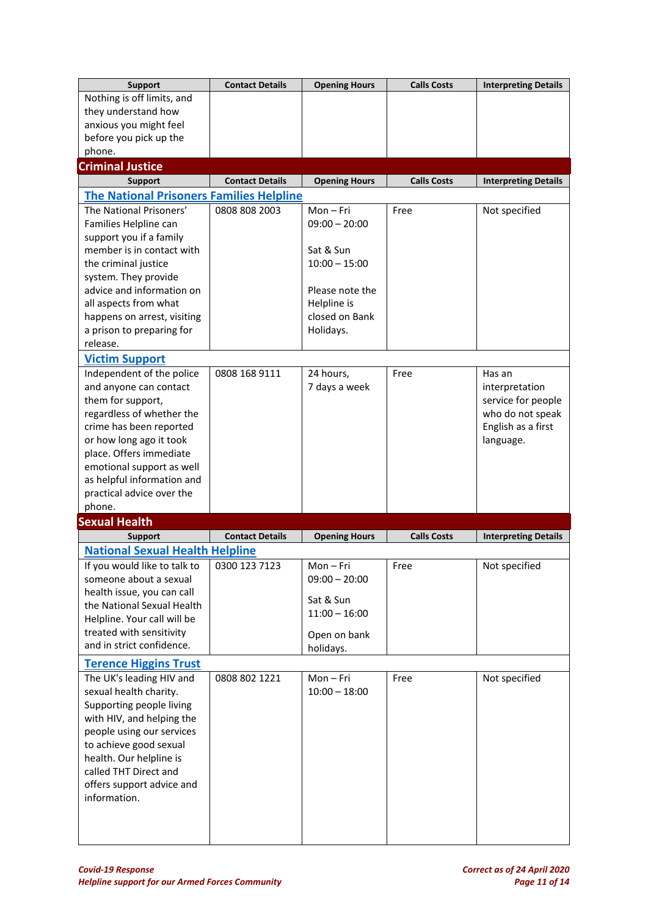| <b>Support</b>                                       | <b>Contact Details</b> | <b>Opening Hours</b> | <b>Calls Costs</b> | <b>Interpreting Details</b> |
|------------------------------------------------------|------------------------|----------------------|--------------------|-----------------------------|
| Nothing is off limits, and                           |                        |                      |                    |                             |
| they understand how                                  |                        |                      |                    |                             |
| anxious you might feel                               |                        |                      |                    |                             |
| before you pick up the                               |                        |                      |                    |                             |
| phone.                                               |                        |                      |                    |                             |
| <b>Criminal Justice</b>                              |                        |                      |                    |                             |
| <b>Support</b>                                       | <b>Contact Details</b> | <b>Opening Hours</b> | <b>Calls Costs</b> | <b>Interpreting Details</b> |
| <b>The National Prisoners Families Helpline</b>      |                        |                      |                    |                             |
| The National Prisoners'                              | 0808 808 2003          | $Mon-Fri$            | Free               | Not specified               |
| Families Helpline can                                |                        | $09:00 - 20:00$      |                    |                             |
| support you if a family<br>member is in contact with |                        | Sat & Sun            |                    |                             |
| the criminal justice                                 |                        | $10:00 - 15:00$      |                    |                             |
| system. They provide                                 |                        |                      |                    |                             |
| advice and information on                            |                        | Please note the      |                    |                             |
| all aspects from what                                |                        | Helpline is          |                    |                             |
| happens on arrest, visiting                          |                        | closed on Bank       |                    |                             |
| a prison to preparing for                            |                        | Holidays.            |                    |                             |
| release.                                             |                        |                      |                    |                             |
| <b>Victim Support</b>                                |                        |                      |                    |                             |
| Independent of the police                            | 0808 168 9111          | 24 hours,            | Free               | Has an                      |
| and anyone can contact                               |                        | 7 days a week        |                    | interpretation              |
| them for support,                                    |                        |                      |                    | service for people          |
| regardless of whether the                            |                        |                      |                    | who do not speak            |
| crime has been reported                              |                        |                      |                    | English as a first          |
| or how long ago it took                              |                        |                      |                    | language.                   |
| place. Offers immediate                              |                        |                      |                    |                             |
| emotional support as well                            |                        |                      |                    |                             |
|                                                      |                        |                      |                    |                             |
| as helpful information and                           |                        |                      |                    |                             |
| practical advice over the<br>phone.                  |                        |                      |                    |                             |
| <b>Sexual Health</b>                                 |                        |                      |                    |                             |
| <b>Support</b>                                       | <b>Contact Details</b> | <b>Opening Hours</b> | <b>Calls Costs</b> | <b>Interpreting Details</b> |
| <b>National Sexual Health Helpline</b>               |                        |                      |                    |                             |
| If you would like to talk to                         | 0300 123 7123          | Mon – Fri            | Free               | Not specified               |
| someone about a sexual                               |                        | $09:00 - 20:00$      |                    |                             |
| health issue, you can call                           |                        |                      |                    |                             |
| the National Sexual Health                           |                        | Sat & Sun            |                    |                             |
| Helpline. Your call will be                          |                        | $11:00 - 16:00$      |                    |                             |
| treated with sensitivity                             |                        | Open on bank         |                    |                             |
| and in strict confidence.                            |                        | holidays.            |                    |                             |
| <b>Terence Higgins Trust</b>                         |                        |                      |                    |                             |
| The UK's leading HIV and                             | 0808 802 1221          | Mon-Fri              | Free               | Not specified               |
| sexual health charity.                               |                        | $10:00 - 18:00$      |                    |                             |
| Supporting people living                             |                        |                      |                    |                             |
| with HIV, and helping the                            |                        |                      |                    |                             |
| people using our services                            |                        |                      |                    |                             |
| to achieve good sexual                               |                        |                      |                    |                             |
| health. Our helpline is<br>called THT Direct and     |                        |                      |                    |                             |
| offers support advice and                            |                        |                      |                    |                             |
| information.                                         |                        |                      |                    |                             |
|                                                      |                        |                      |                    |                             |
|                                                      |                        |                      |                    |                             |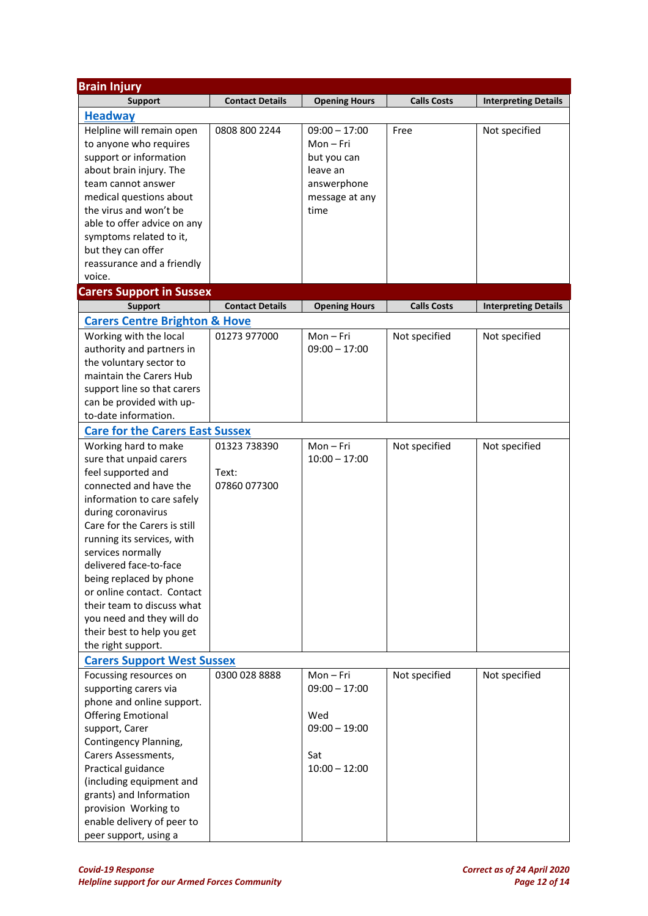| <b>Brain Injury</b>                      |                        |                      |                    |                             |
|------------------------------------------|------------------------|----------------------|--------------------|-----------------------------|
| <b>Support</b>                           | <b>Contact Details</b> | <b>Opening Hours</b> | <b>Calls Costs</b> | <b>Interpreting Details</b> |
| <b>Headway</b>                           |                        |                      |                    |                             |
| Helpline will remain open                | 0808 800 2244          | $09:00 - 17:00$      | Free               | Not specified               |
| to anyone who requires                   |                        | $Mon-Fri$            |                    |                             |
| support or information                   |                        | but you can          |                    |                             |
| about brain injury. The                  |                        | leave an             |                    |                             |
| team cannot answer                       |                        | answerphone          |                    |                             |
| medical questions about                  |                        | message at any       |                    |                             |
| the virus and won't be                   |                        | time                 |                    |                             |
| able to offer advice on any              |                        |                      |                    |                             |
| symptoms related to it,                  |                        |                      |                    |                             |
| but they can offer                       |                        |                      |                    |                             |
| reassurance and a friendly               |                        |                      |                    |                             |
| voice.                                   |                        |                      |                    |                             |
| <b>Carers Support in Sussex</b>          |                        |                      |                    |                             |
| <b>Support</b>                           | <b>Contact Details</b> | <b>Opening Hours</b> | <b>Calls Costs</b> | <b>Interpreting Details</b> |
| <b>Carers Centre Brighton &amp; Hove</b> |                        |                      |                    |                             |
| Working with the local                   | 01273 977000           | Mon-Fri              | Not specified      | Not specified               |
| authority and partners in                |                        | $09:00 - 17:00$      |                    |                             |
| the voluntary sector to                  |                        |                      |                    |                             |
| maintain the Carers Hub                  |                        |                      |                    |                             |
| support line so that carers              |                        |                      |                    |                             |
| can be provided with up-                 |                        |                      |                    |                             |
| to-date information.                     |                        |                      |                    |                             |
| <b>Care for the Carers East Sussex</b>   |                        |                      |                    |                             |
| Working hard to make                     | 01323 738390           | Mon-Fri              | Not specified      | Not specified               |
| sure that unpaid carers                  |                        | $10:00 - 17:00$      |                    |                             |
| feel supported and                       | Text:                  |                      |                    |                             |
| connected and have the                   | 07860 077300           |                      |                    |                             |
| information to care safely               |                        |                      |                    |                             |
| during coronavirus                       |                        |                      |                    |                             |
| Care for the Carers is still             |                        |                      |                    |                             |
| running its services, with               |                        |                      |                    |                             |
| services normally                        |                        |                      |                    |                             |
| delivered face-to-face                   |                        |                      |                    |                             |
| being replaced by phone                  |                        |                      |                    |                             |
| or online contact. Contact               |                        |                      |                    |                             |
| their team to discuss what               |                        |                      |                    |                             |
| you need and they will do                |                        |                      |                    |                             |
| their best to help you get               |                        |                      |                    |                             |
| the right support.                       |                        |                      |                    |                             |
| <b>Carers Support West Sussex</b>        |                        |                      |                    |                             |
| Focussing resources on                   | 0300 028 8888          | Mon-Fri              | Not specified      | Not specified               |
| supporting carers via                    |                        | $09:00 - 17:00$      |                    |                             |
| phone and online support.                |                        |                      |                    |                             |
| <b>Offering Emotional</b>                |                        | Wed                  |                    |                             |
| support, Carer                           |                        | $09:00 - 19:00$      |                    |                             |
| Contingency Planning,                    |                        |                      |                    |                             |
| Carers Assessments,                      |                        | Sat                  |                    |                             |
| Practical guidance                       |                        | $10:00 - 12:00$      |                    |                             |
| (including equipment and                 |                        |                      |                    |                             |
| grants) and Information                  |                        |                      |                    |                             |
| provision Working to                     |                        |                      |                    |                             |
| enable delivery of peer to               |                        |                      |                    |                             |
| peer support, using a                    |                        |                      |                    |                             |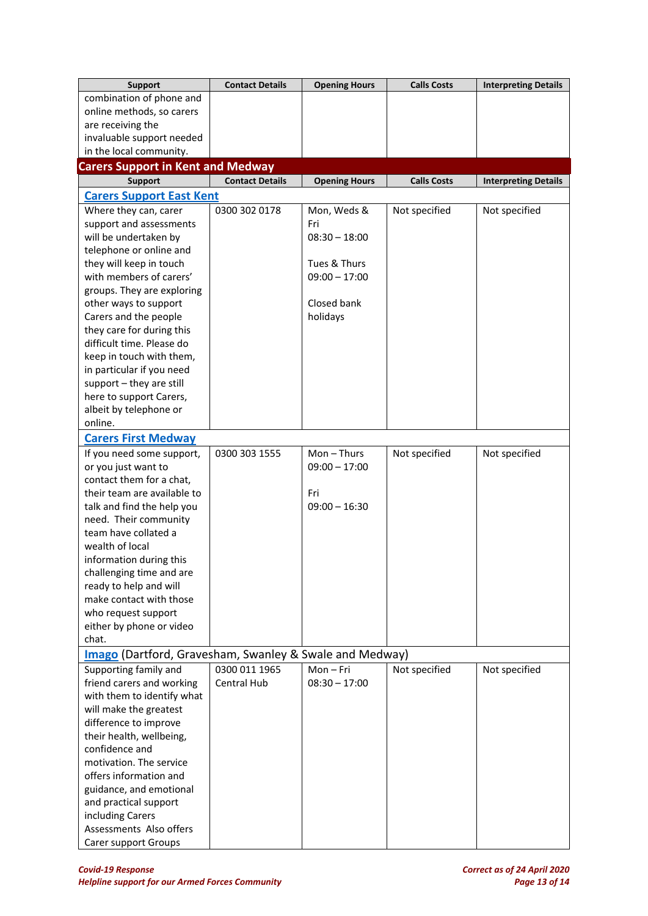| <b>Support</b>                                          | <b>Contact Details</b> | <b>Opening Hours</b> | <b>Calls Costs</b> | <b>Interpreting Details</b> |
|---------------------------------------------------------|------------------------|----------------------|--------------------|-----------------------------|
| combination of phone and                                |                        |                      |                    |                             |
| online methods, so carers                               |                        |                      |                    |                             |
| are receiving the                                       |                        |                      |                    |                             |
| invaluable support needed                               |                        |                      |                    |                             |
| in the local community.                                 |                        |                      |                    |                             |
| <b>Carers Support in Kent and Medway</b>                |                        |                      |                    |                             |
| <b>Support</b>                                          | <b>Contact Details</b> | <b>Opening Hours</b> | <b>Calls Costs</b> | <b>Interpreting Details</b> |
| <b>Carers Support East Kent</b>                         |                        |                      |                    |                             |
| Where they can, carer                                   | 0300 302 0178          | Mon, Weds &          | Not specified      | Not specified               |
| support and assessments                                 |                        | Fri                  |                    |                             |
| will be undertaken by                                   |                        | $08:30 - 18:00$      |                    |                             |
| telephone or online and                                 |                        |                      |                    |                             |
| they will keep in touch                                 |                        | Tues & Thurs         |                    |                             |
| with members of carers'                                 |                        | $09:00 - 17:00$      |                    |                             |
| groups. They are exploring                              |                        |                      |                    |                             |
| other ways to support                                   |                        | Closed bank          |                    |                             |
| Carers and the people                                   |                        | holidays             |                    |                             |
| they care for during this                               |                        |                      |                    |                             |
| difficult time. Please do                               |                        |                      |                    |                             |
| keep in touch with them,                                |                        |                      |                    |                             |
| in particular if you need                               |                        |                      |                    |                             |
| support - they are still                                |                        |                      |                    |                             |
| here to support Carers,                                 |                        |                      |                    |                             |
| albeit by telephone or                                  |                        |                      |                    |                             |
| online.                                                 |                        |                      |                    |                             |
| <b>Carers First Medway</b>                              |                        |                      |                    |                             |
| If you need some support,                               | 0300 303 1555          | $Mon - Thus$         | Not specified      | Not specified               |
| or you just want to                                     |                        | $09:00 - 17:00$      |                    |                             |
| contact them for a chat,                                |                        |                      |                    |                             |
| their team are available to                             |                        | Fri                  |                    |                             |
| talk and find the help you                              |                        | $09:00 - 16:30$      |                    |                             |
| need. Their community                                   |                        |                      |                    |                             |
| team have collated a                                    |                        |                      |                    |                             |
| wealth of local                                         |                        |                      |                    |                             |
| information during this                                 |                        |                      |                    |                             |
| challenging time and are                                |                        |                      |                    |                             |
| ready to help and will                                  |                        |                      |                    |                             |
| make contact with those                                 |                        |                      |                    |                             |
| who request support                                     |                        |                      |                    |                             |
| either by phone or video                                |                        |                      |                    |                             |
| chat.                                                   |                        |                      |                    |                             |
| Imago (Dartford, Gravesham, Swanley & Swale and Medway) |                        |                      |                    |                             |
| Supporting family and                                   | 0300 011 1965          | $Mon-Fri$            | Not specified      | Not specified               |
| friend carers and working                               | Central Hub            | $08:30 - 17:00$      |                    |                             |
| with them to identify what                              |                        |                      |                    |                             |
| will make the greatest                                  |                        |                      |                    |                             |
| difference to improve                                   |                        |                      |                    |                             |
| their health, wellbeing,                                |                        |                      |                    |                             |
| confidence and                                          |                        |                      |                    |                             |
| motivation. The service                                 |                        |                      |                    |                             |
| offers information and                                  |                        |                      |                    |                             |
| guidance, and emotional                                 |                        |                      |                    |                             |
| and practical support                                   |                        |                      |                    |                             |
| including Carers                                        |                        |                      |                    |                             |
| Assessments Also offers                                 |                        |                      |                    |                             |
| Carer support Groups                                    |                        |                      |                    |                             |